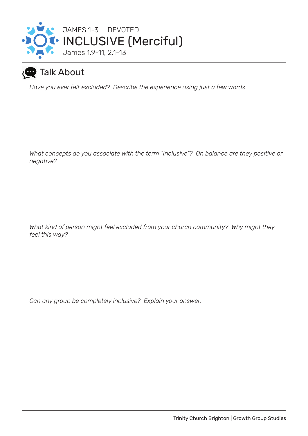

## **Talk About**

*Have you ever felt excluded? Describe the experience using just a few words.*

*What concepts do you associate with the term "Inclusive"? On balance are they positive or negative?*

*What kind of person might feel excluded from your church community? Why might they feel this way?*

*Can any group be completely inclusive? Explain your answer.*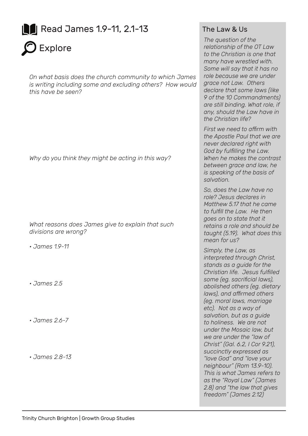



*On what basis does the church community to which James is writing including some and excluding others? How would this have be seen?*

*Why do you think they might be acting in this way?*

*What reasons does James give to explain that such divisions are wrong?*

*• James 1.9-11*

*• James 2.5*

*• James 2.6-7*

*• James 2.8-13*

## The Law & Us

*The question of the relationship of the OT Law to the Christian is one that many have wrestled with. Some will say that it has no role because we are under grace not Law. Others declare that some laws (like 9 of the 10 Commandments) are still binding. What role, if any, should the Law have in the Christian life?*

*First we need to affirm with the Apostle Paul that we are never declared right with God by fulfilling the Law. When he makes the contrast between grace and law, he is speaking of the basis of salvation.* 

*So, does the Law have no role? Jesus declares in Matthew 5.17 that he came to fulfill the Law. He then goes on to state that it retains a role and should be taught (5.19). What does this mean for us?* 

*Simply, the Law, as interpreted through Christ, stands as a guide for the Christian life. Jesus fulfilled some (eg. sacrificial laws), abolished others (eg. dietary laws), and affirmed others (eg. moral laws, marriage etc). Not as a way of salvation, but as a guide to holiness. We are not under the Mosaic law, but we are under the "law of Christ" (Gal. 6.2, I Cor 9.21), succinctly expressed as "love God" and "love your neighbour" (Rom 13.9-10). This is what James refers to as the "Royal Law" (James 2.8) and "the law that gives freedom" (James 2.12)*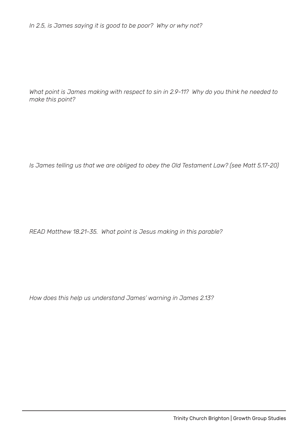*In 2.5, is James saying it is good to be poor? Why or why not?*

*What point is James making with respect to sin in 2.9-11? Why do you think he needed to make this point?*

*Is James telling us that we are obliged to obey the Old Testament Law? (see Matt 5.17-20)*

*READ Matthew 18.21-35. What point is Jesus making in this parable?*

*How does this help us understand James' warning in James 2.13?*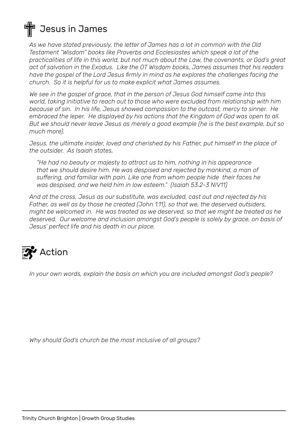## **Jesus in James**

*As we have stated previously, the letter of James has a lot in common with the Old Testament "Wisdom" books like Proverbs and Ecclesiastes which speak a lot of the practicalities of life in this world, but not much about the Law, the covenants, or God's great act of salvation in the Exodus. Like the OT Wisdom books, James assumes that his readers have the gospel of the Lord Jesus firmly in mind as he explores the challenges facing the church. So it is helpful for us to make explicit what James assumes.*

*We see in the gospel of grace, that in the person of Jesus God himself came into this world, taking initiative to reach out to those who were excluded from relationship with him because of sin. In his life, Jesus showed compassion to the outcast, mercy to sinner. He embraced the leper. He displayed by his actions that the Kingdom of God was open to all. But we should never leave Jesus as merely a good example (he is the best example, but so much more).* 

*Jesus, the ultimate insider, loved and cherished by his Father, put himself in the place of the outsider. As Isaiah states,* 

*"He had no beauty or majesty to attract us to him, nothing in his appearance that we should desire him. He was despised and rejected by mankind, a man of suffering, and familiar with pain. Like one from whom people hide their faces he was despised, and we held him in low esteem." (Isaiah 53.2-3 NIV11)*

*And at the cross, Jesus as our substitute, was excluded, cast out and rejected by his Father, as well as by those he created (John 1.11), so that we, the deserved outsiders, might be welcomed in. He was treated as we deserved, so that we might be treated as he deserved. Our welcome and inclusion amongst God's people is solely by grace, on basis of Jesus' perfect life and his death in our place.*



*In your own words, explain the basis on which you are included amongst God's people?*

*Why should God's church be the most inclusive of all groups?*